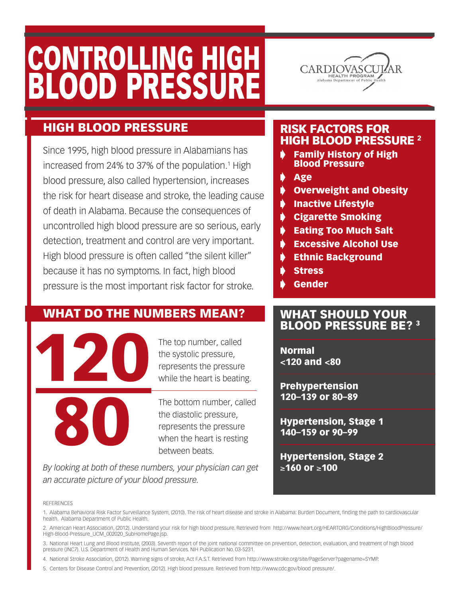# CONTROLLING HIGH Blood Pressure



### High Blood Pressure

Since 1995, high blood pressure in Alabamians has increased from 24% to 37% of the population.<sup>1</sup> High blood pressure, also called hypertension, increases the risk for heart disease and stroke, the leading cause of death in Alabama. Because the consequences of uncontrolled high blood pressure are so serious, early detection, treatment and control are very important. High blood pressure is often called "the silent killer" because it has no symptoms. In fact, high blood pressure is the most important risk factor for stroke.

### WHAT DO THE NUMBERS MEAN?



The top number, called the systolic pressure, represents the pressure while the heart is beating.

The bottom number, called the diastolic pressure, represents the pressure when the heart is resting between beats.

*By looking at both of these numbers, your physician can get an accurate picture of your blood pressure.*

#### REFERENCES

1. Alabama Behavioral Risk Factor Surveillance System, (2010). The risk of heart disease and stroke in Alabama: Burden Document, finding the path to cardiovascular health. Alabama Department of Public Health.

2. American Heart Association, (2012). Understand your risk for high blood pressure. Retrieved from http://www.heart.org/HEARTORG/Conditions/HighBloodPressure/ High-Blood-Pressure\_UCM\_002020\_SubHomePage.jsp.

3. National Heart Lung and Blood Institute, (2003). Seventh report of the joint national committee on prevention, detection, evaluation, and treatment of high blood pressure (JNC7). U.S. Department of Health and Human Services. NIH Publication No. 03-5231.

4. National Stroke Association, (2012). Warning signs of stroke, Act F.A.S.T. Retrieved from http://www.stroke.org/site/PageServer?pagename=SYMP.

5. Centers for Disease Control and Prevention, (2012). High blood pressure. Retrieved from http://www.cdc.gov/blood pressure/.

#### Risk Factors For HIGH BLOOD PRESSURE 2

**Family History of High** Blood Pressure

**Age** 

- **Overweight and Obesity**
- **Inactive Lifestyle**
- $\bullet$  Cigarette Smoking
- **Eating Too Much Salt**
- $\blacktriangleright$  Excessive Alcohol Use
- **Ethnic Background**
- **Stress**
- **Gender**

#### What should your Blood Pressure be? 3

Normal <120 and <80

Prehypertension 120–139 or 80–89

Hypertension, Stage 1 140–159 or 90–99

Hypertension, Stage 2 ≥160 or ≥100